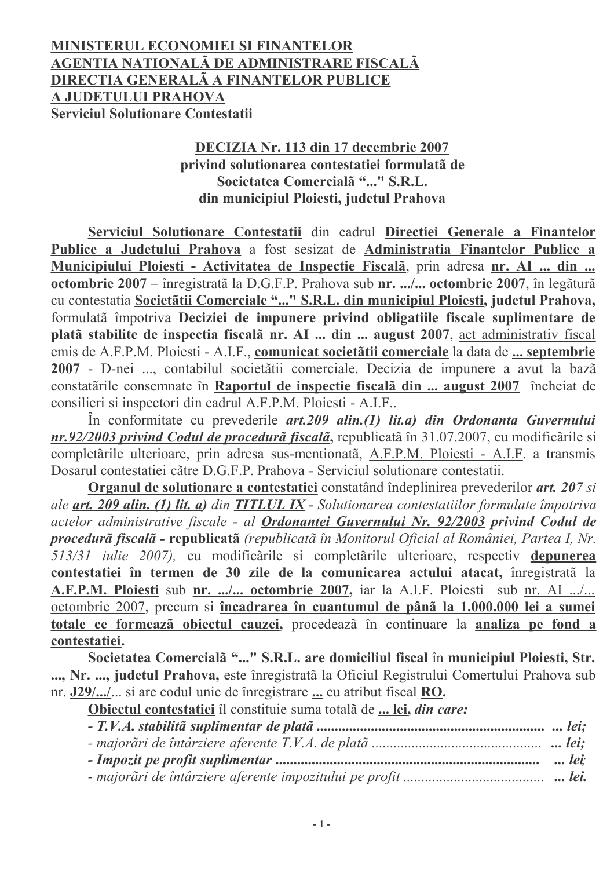## MINISTERUL ECONOMIEI SI FINANTELOR AGENTIA NATIONALÃ DE ADMINISTRARE FISCALÃ DIRECTIA GENERALÃ A FINANTELOR PUBLICE A JUDETULUI PRAHOVA **Serviciul Solutionare Contestatii**

### DECIZIA Nr. 113 din 17 decembrie 2007 privind solutionarea contestatiei formulatã de Societatea Comercialã "..." S.R.L. din municipiul Ploiesti, judetul Prahova

Serviciul Solutionare Contestatii din cadrul Directiei Generale a Finantelor Publice a Judetului Prahova a fost sesizat de Administratia Finantelor Publice a Municipiului Ploiesti - Activitatea de Inspectie Fiscalã, prin adresa nr. AI ... din ... octombrie 2007 – înregistrată la D.G.F.P. Prahova sub nr. .../... octombrie 2007, în legătură cu contestatia Societãtii Comerciale "..." S.R.L. din municipiul Ploiesti, judetul Prahova, formulată împotriva Deciziei de impunere privind obligatiile fiscale suplimentare de platã stabilite de inspectia fiscalã nr. AI ... din ... august 2007, act administrativ fiscal emis de A.F.P.M. Ploiesti - A.I.F., comunicat societãtii comerciale la data de ... septembrie 2007 - D-nei ..., contabilul societății comerciale. Decizia de impunere a avut la bază constatarile consemnate în Raportul de inspectie fiscala din ... august 2007 încheiat de consilieri si inspectori din cadrul A.F.P.M. Ploiesti - A.I.F..

În conformitate cu prevederile *art.209 alin.(1) lit.a) din Ordonanta Guvernului* nr.92/2003 privind Codul de procedură fiscală, republicată în 31.07.2007, cu modificările si completările ulterioare, prin adresa sus-mentionată, A.F.P.M. Ploiesti - A.I.F. a transmis Dosarul contestatiei cãtre D.G.F.P. Prahova - Serviciul solutionare contestatii.

Organul de solutionare a contestatiei constatând îndeplinirea prevederilor art. 207 si ale art. 209 alin. (1) lit. a) din TITLUL IX - Solutionarea contestatiilor formulate împotriva actelor administrative fiscale - al Ordonantei Guvernului Nr. 92/2003 privind Codul de procedură fiscală - republicată (republicată în Monitorul Oficial al României, Partea I, Nr. 513/31 iulie 2007), cu modificările si completările ulterioare, respectiv depunerea contestatiei în termen de 30 zile de la comunicarea actului atacat, înregistrată la A.F.P.M. Ploiesti sub nr. .../... octombrie 2007, iar la A.I.F. Ploiesti sub nr. AI .../... octombrie 2007, precum si încadrarea în cuantumul de până la 1.000.000 lei a sumei totale ce formeazã obiectul cauzei, procedeazã în continuare la analiza pe fond a contestatiei.

Societatea Comercialã "..." S.R.L. are domiciliul fiscal în municipiul Ploiesti, Str. ..., Nr. ..., judetul Prahova, este înregistrată la Oficiul Registrului Comertului Prahova sub nr. J29/.../... si are codul unic de înregistrare ... cu atribut fiscal RO.

Obiectul contestatiei îl constituie suma totală de ... lei, din care: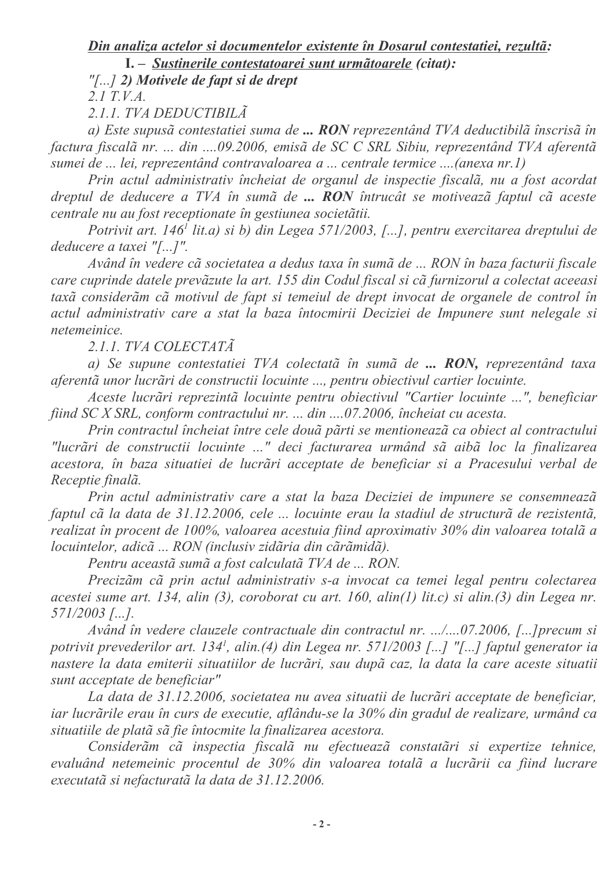# Din analiza actelor si documentelor existente în Dosarul contestatiei, rezultã:

I. - Sustinerile contestatoarei sunt urmãtoarele (citat):

"[ $\dots$ ] 2) Motivele de fapt si de drept

 $2.1$  T.V.A.

2.1.1. TVA DEDUCTIBILA

a) Este supusă contestatiei suma de ... RON reprezentând TVA deductibilă înscrisă în factura fiscalã nr. ... din ....09.2006, emisã de SC C SRL Sibiu, reprezentând TVA aferentã sumei de ... lei, reprezentând contravaloarea a ... centrale termice ....(anexa nr. l)

Prin actul administrativ încheiat de organul de inspectie fiscalã, nu a fost acordat dreptul de deducere a TVA în sumă de ... RON întrucât se motivează faptul că aceste centrale nu au fost receptionate în gestiunea societătii.

Potrivit art. 146<sup>*i*</sup> lit.a) si b) din Legea 571/2003, [...], pentru exercitarea dreptului de deducere a taxei "[...]".

Având în vedere cã societatea a dedus taxa în sumã de ... RON în baza facturii fiscale care cuprinde datele prevăzute la art. 155 din Codul fiscal și că furnizorul a colectat aceeasi taxã considerãm cã motivul de fapt si temeiul de drept invocat de organele de control în actul administrativ care a stat la baza întocmirii Deciziei de Impunere sunt nelegale si *netemeinice* 

2.1.1. TVA COLECTATÃ

a) Se supune contestatiei TVA colectată în sumă de ... RON, reprezentând taxa aferentă unor lucrări de constructii locuinte ..., pentru obiectivul cartier locuinte.

Aceste lucrări reprezintă locuinte pentru obiectivul "Cartier locuinte ...", beneficiar fiind SC X SRL, conform contractului nr. ... din ....07.2006, încheiat cu acesta.

Prin contractul încheiat între cele două părti se mentionează ca obiect al contractului "lucrãri de constructii locuinte ..." deci facturarea urmând sã aibã loc la finalizarea acestora, în baza situatiei de lucrări acceptate de beneficiar si a Pracesului verbal de Receptie finalã.

Prin actul administrativ care a stat la baza Deciziei de impunere se consemneazã faptul cã la data de 31.12.2006, cele ... locuinte erau la stadiul de structurã de rezistentã, realizat în procent de 100%, valoarea acestuia fiind aproximativ 30% din valoarea totală a locuintelor, adicã ... RON (inclusiv zidăria din cărămidă).

Pentru aceastã sumã a fost calculatã TVA de ... RON.

Precizãm cã prin actul administrativ s-a invocat ca temei legal pentru colectarea acestei sume art. 134, alin (3), coroborat cu art. 160, alin(1) lit.c) si alin.(3) din Legea nr.  $571/2003$  [...].

Având în vedere clauzele contractuale din contractul nr. .../....07.2006, [...] precum si potrivit prevederilor art. 134<sup>1</sup>, alin.(4) din Legea nr. 571/2003 [...] "[...] faptul generator ia nastere la data emiterii situatiilor de lucrări, sau după caz, la data la care aceste situatii sunt acceptate de beneficiar"

La data de 31.12.2006, societatea nu avea situatii de lucrãri acceptate de beneficiar, iar lucrările erau în curs de executie, aflându-se la 30% din gradul de realizare, urmând ca situatiile de plată să fie întocmite la finalizarea acestora.

Considerãm cã inspectia fiscalã nu efectueazã constatãri si expertize tehnice, evaluând netemeinic procentul de 30% din valoarea totală a lucrării ca fiind lucrare executată si nefacturată la data de 31.12.2006.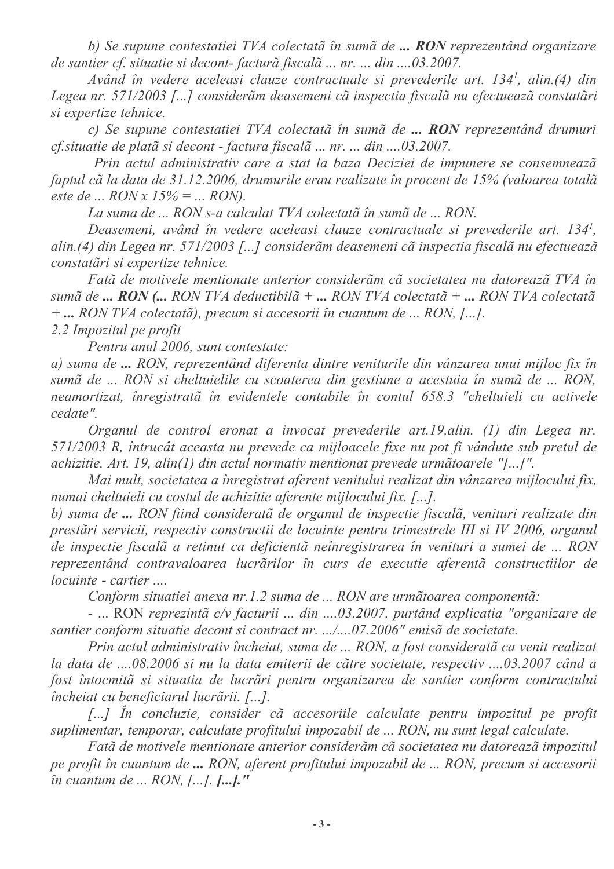b) Se supune contestatiei TVA colectată în sumă de ... RON reprezentând organizare de santier cf. situatie si decont-facturã fiscalã ... nr. ... din ....03.2007.

Având în vedere aceleasi clauze contractuale si prevederile art. 134<sup>1</sup>, alin.(4) din Legea nr. 571/2003 [...] considerãm deasemeni cã inspectia fiscalã nu efectueazã constatãri si expertize tehnice.

c) Se supune contestatiei TVA colectată în sumă de ... RON reprezentând drumuri cf. situatie de platã si decont - factura fiscalã ... nr. ... din .... 03.2007.

Prin actul administrativ care a stat la baza Deciziei de impunere se consemnează faptul cã la data de 31.12.2006, drumurile erau realizate în procent de 15% (valoarea totalã este de ...  $RONx 15% = ... RON$ .

La suma de ... RON s-a calculat TVA colectată în sumă de ... RON.

Deasemeni, având în vedere aceleasi clauze contractuale si prevederile art. 134<sup>1</sup>, alin.(4) din Legea nr. 571/2003 [...] considerãm deasemeni cã inspectia fiscalã nu efectueazã constatări și expertize tehnice.

Fatã de motivele mentionate anterior considerãm cã societatea nu datoreazã TVA în sumã de ... RON (... RON TVA deductibilã + ... RON TVA colectatã + ... RON TVA colectatã  $+...$  RON TVA colectatã), precum si accesorii în cuantum de ... RON, [...].

2.2 Impozitul pe profit

Pentru anul 2006, sunt contestate:

a) suma de ... RON, reprezentând diferenta dintre veniturile din vânzarea unui mijloc fix în sumã de ... RON si cheltuielile cu scoaterea din gestiune a acestuia în sumã de ... RON, neamortizat, înregistrată în evidentele contabile în contul 658.3 "cheltuieli cu activele cedate".

Organul de control eronat a invocat prevederile art.19, alin. (1) din Legea nr. 571/2003 R, întrucât aceasta nu prevede ca mijloacele fixe nu pot fi vândute sub pretul de achizitie. Art. 19, alin(1) din actul normativ mentionat prevede urmãtoarele "[...]".

Mai mult, societatea a înregistrat aferent venitului realizat din vânzarea mijlocului fix, numai cheltuieli cu costul de achizitie aferente mijlocului fix. [...].

b) suma de ... RON fiind considerată de organul de inspectie fiscală, venituri realizate din prestări servicii, respectiv constructii de locuinte pentru trimestrele III si IV 2006, organul de inspectie fiscală a retinut ca deficientă neînregistrarea în venituri a sumei de ... RON reprezentând contravaloarea lucrărilor în curs de executie aferentă constructiilor de *locuinte - cartier ....* 

Conform situatiei anexa nr.1.2 suma de ... RON are urmãtoarea componentã:

- ... RON reprezintã c/v facturii ... din ....03.2007, purtând explicatia "organizare de santier conform situatie decont si contract nr. .../....07.2006" emisã de societate.

Prin actul administrativ încheiat, suma de ... RON, a fost considerată ca venit realizat la data de ....08.2006 si nu la data emiterii de către societate, respectiv ....03.2007 când a fost întocmită si situatia de lucrări pentru organizarea de santier conform contractului încheiat cu beneficiarul lucrării. [...].

[...] În concluzie, consider cã accesoriile calculate pentru impozitul pe profit suplimentar, temporar, calculate profitului impozabil de ... RON, nu sunt legal calculate.

Fatã de motivele mentionate anterior considerãm cã societatea nu datoreazã impozitul pe profit în cuantum de ... RON, aferent profitului impozabil de ... RON, precum si accesorii  $\hat{u}$  cuantum de ... RON, [...].  $\left[\ldots\right]$ ."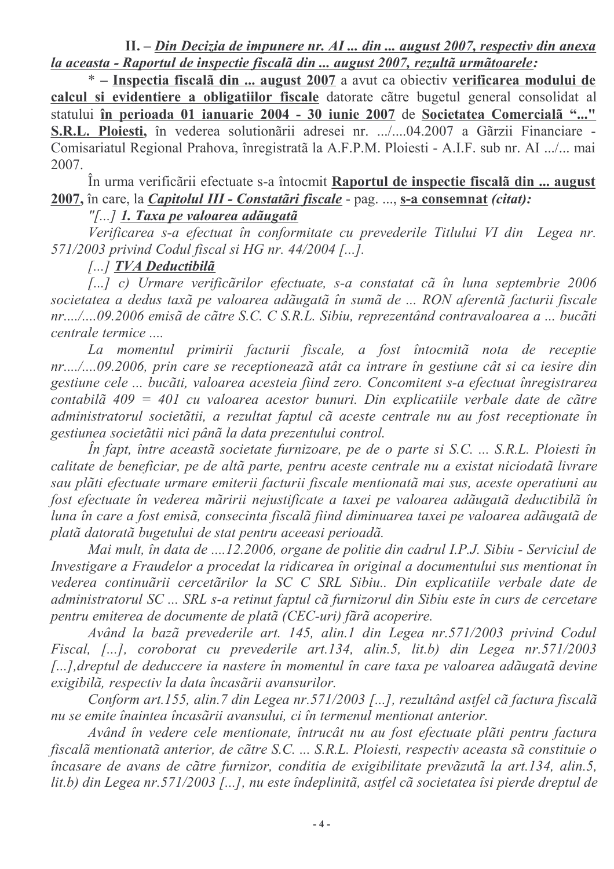$II. - Din Decizia de impunere nr. AI ... din ... august 2007, respectiv din anexa$ la aceasta - Raportul de inspectie fiscalã din ... august 2007, rezultã urmãtoarele:

\* – Inspectia fiscală din ... august 2007 a avut ca obiectiv verificarea modului de calcul si evidentiere a obligatiilor fiscale datorate către bugetul general consolidat al statului în perioada 01 ianuarie 2004 - 30 iunie 2007 de Societatea Comercialã "..." S.R.L. Ploiesti, în vederea solutionării adresei nr. .../....04.2007 a Gărzii Financiare -Comisariatul Regional Prahova, înregistrată la A.F.P.M. Ploiesti - A.I.F. sub nr. AI .../... mai 2007.

În urma verificării efectuate s-a întocmit Raportul de inspectie fiscală din ... august 2007, în care, la *Capitolul III - Constatări fiscale* - pag. ..., s-a consemnat *(citat)*:

### "[...] 1. Taxa pe valoarea adãugatã

Verificarea s-a efectuat în conformitate cu prevederile Titlului VI din Legea nr. 571/2003 privind Codul fiscal si HG nr. 44/2004 [...].

### [...] TVA Deductibilã

[...] c) Urmare verificărilor efectuate, s-a constatat că în luna septembrie 2006 societatea a dedus taxã pe valoarea adãugatã în sumã de ... RON aferentã facturii fiscale nr..../....09.2006 emisã de cãtre S.C. C S.R.L. Sibiu, reprezentând contravaloarea a ... bucãti centrale termice ....

La momentul primirii facturii fiscale, a fost întocmită nota de receptie nr..../....09.2006, prin care se receptionează atât ca intrare în gestiune cât si ca iesire din gestiune cele ... bucãti, valoarea acesteia fiind zero. Concomitent s-a efectuat înregistrarea contabilã  $409 = 401$  cu valoarea acestor bunuri. Din explicatiile verbale date de cãtre administratorul societătii, a rezultat faptul că aceste centrale nu au fost receptionate în gestiunea societătii nici până la data prezentului control.

În fapt, între această societate furnizoare, pe de o parte si S.C. ... S.R.L. Ploiesti în calitate de beneficiar, pe de altã parte, pentru aceste centrale nu a existat niciodatã livrare sau plăti efectuate urmare emiterii facturii fiscale mentionată mai sus, aceste operatiuni au fost efectuate în vederea măririi nejustificate a taxei pe valoarea adăugată deductibilă în luna în care a fost emisă, consecinta fiscală fiind diminuarea taxei pe valoarea adăugată de plată datorată bugetului de stat pentru aceeasi perioadă.

Mai mult, în data de ....12.2006, organe de politie din cadrul I.P.J. Sibiu - Serviciul de Investigare a Fraudelor a procedat la ridicarea în original a documentului sus mentionat în vederea continuării cercetărilor la SC C SRL Sibiu.. Din explicatiile verbale date de administratorul SC ... SRL s-a retinut faptul că furnizorul din Sibiu este în curs de cercetare pentru emiterea de documente de platã (CEC-uri) fãrã acoperire.

Având la bazã prevederile art. 145, alin.1 din Legea nr.571/2003 privind Codul Fiscal, [...], coroborat cu prevederile art.134, alin.5, lit.b) din Legea nr.571/2003 [...], dreptul de deduccere ia nastere în momentul în care taxa pe valoarea adăugată devine exigibilã, respectiv la data încasării avansurilor.

Conform art.155, alin.7 din Legea nr.571/2003 [...], rezultând astfel cã factura fiscalã nu se emite înaintea încasării avansului, ci în termenul mentionat anterior.

Având în vedere cele mentionate, întrucât nu au fost efectuate plăti pentru factura fiscală mentionată anterior, de către S.C. ... S.R.L. Ploiesti, respectiv aceasta să constituie o încasare de avans de către furnizor, conditia de exigibilitate prevăzută la art.134, alin.5, lit.b) din Legea nr.571/2003 [...], nu este îndeplinitã, astfel cã societatea îsi pierde dreptul de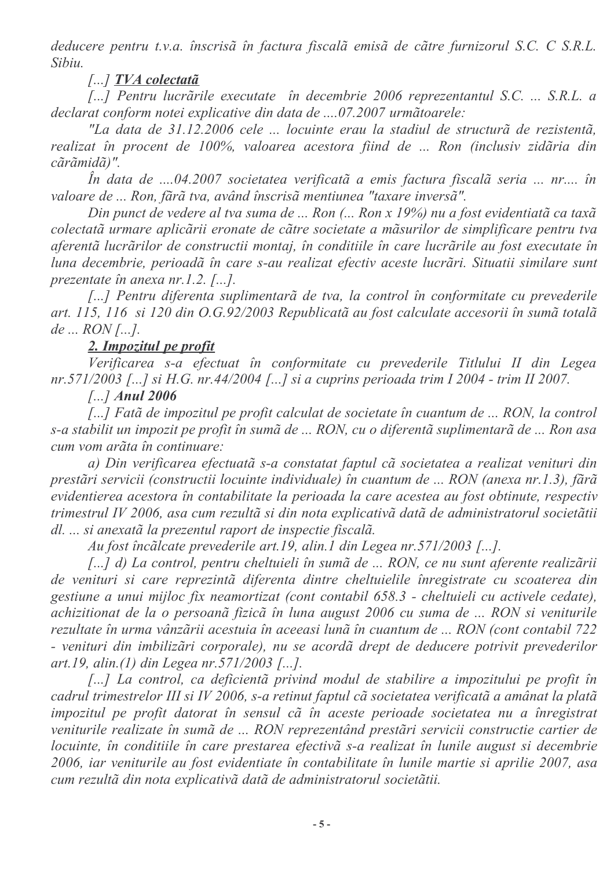deducere pentru t.v.a. înscrisă în factura fiscală emisă de către furnizorul S.C. C S.R.L. Sibiu.

[...] TVA colectatã

[...] Pentru lucrările executate în decembrie 2006 reprezentantul S.C. ... S.R.L. a declarat conform notei explicative din data de ....07.2007 urmãtoarele:

"La data de 31.12.2006 cele ... locuinte erau la stadiul de structurã de rezistentã, realizat în procent de 100%, valoarea acestora fiind de ... Ron (inclusiv zidăria din cãrãmidã)".

În data de ....04.2007 societatea verificatã a emis factura fiscalã seria ... nr.... în valoare de ... Ron, fără tva, având înscrisă mentiunea "taxare inversă".

Din punct de vedere al tva suma de ... Ron (... Ron x 19%) nu a fost evidentiată ca taxă colectată urmare aplicării eronate de către societate a măsurilor de simplificare pentru tva aferentă lucrărilor de constructii montaj, în conditiile în care lucrările au fost executate în luna decembrie, perioadă în care s-au realizat efectiv aceste lucrări. Situatii similare sunt prezentate în anexa  $nr, 1, 2, 7, . . .$ 

[...] Pentru diferenta suplimentară de tva, la control în conformitate cu prevederile art. 115, 116 si 120 din O.G.92/2003 Republicată au fost calculate accesorii în sumă totală  $de...$   $RON$  [...].

## 2. Impozitul pe profit

Verificarea s-a efectuat în conformitate cu prevederile Titlului II din Legea nr.571/2003 [...] si H.G. nr.44/2004 [...] si a cuprins perioada trim I 2004 - trim II 2007.

 $\left[\ldots\right]$  Anul 2006

[...] Fatã de impozitul pe profit calculat de societate în cuantum de ... RON, la control s-a stabilit un impozit pe profit în sumă de ... RON, cu o diferentă suplimentară de ... Ron asa cum vom arãta în continuare:

a) Din verificarea efectuată s-a constatat faptul că societatea a realizat venituri din prestări servicii (constructii locuinte individuale) în cuantum de ... RON (anexa nr.1.3), fără evidentierea acestora în contabilitate la perioada la care acestea au fost obtinute, respectiv trimestrul IV 2006, asa cum rezultă și din nota explicativă dată de administratorul societătii dl. ... si anexată la prezentul raport de inspectie fiscală.

Au fost încălcate prevederile art.19, alin.1 din Legea nr.571/2003 [...].

[...] d) La control, pentru cheltuieli în sumă de ... RON, ce nu sunt aferente realizării de venituri si care reprezintă diferenta dintre cheltuielile înregistrate cu scoaterea din gestiune a unui mijloc fix neamortizat (cont contabil 658.3 - cheltuieli cu activele cedate), achizitionat de la o persoanã fizicã în luna august 2006 cu suma de ... RON si veniturile rezultate în urma vânzării acestuia în aceeasi lună în cuantum de ... RON (cont contabil 722 - venituri din imbilizări corporale), nu se acordă drept de deducere potrivit prevederilor art.19, alin.(1) din Legea nr.571/2003 [...].

[...] La control, ca deficientã privind modul de stabilire a impozitului pe profit în cadrul trimestrelor III și IV 2006, s-a retinut faptul că societatea verificată a amânat la plată impozitul pe profit datorat în sensul cã în aceste perioade societatea nu a înregistrat veniturile realizate în sumă de ... RON reprezentând prestări servicii constructie cartier de locuinte, în conditiile în care prestarea efectivă s-a realizat în lunile august si decembrie 2006, iar veniturile au fost evidentiate în contabilitate în lunile martie si aprilie 2007, asa cum rezultă din nota explicativă dată de administratorul societătii.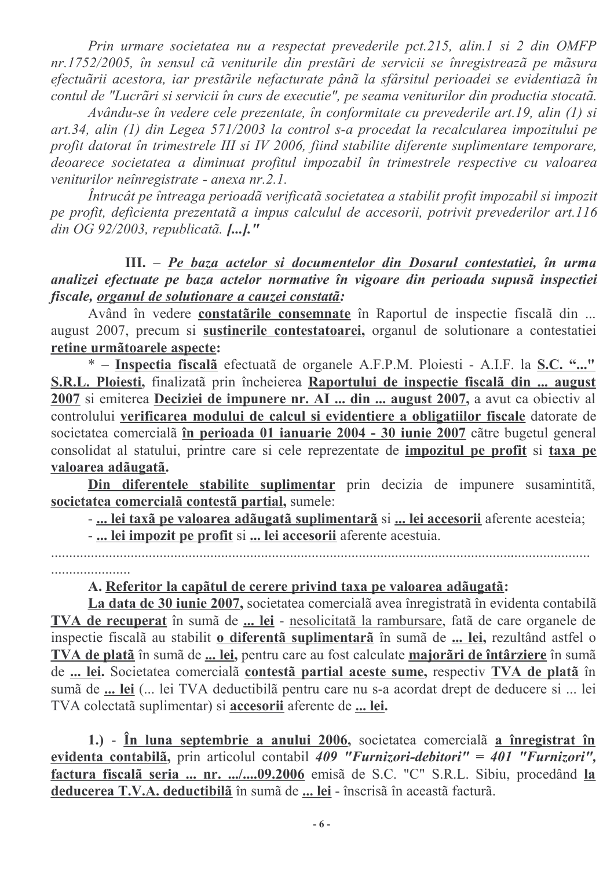Prin urmare societatea nu a respectat prevederile pct.215, alin.1 si 2 din OMFP nr.1752/2005, în sensul că veniturile din prestări de servicii se înregistrează pe măsura efectuării acestora, iar prestările nefacturate până la sfârsitul perioadei se evidentiază în contul de "Lucrãri si servicii în curs de executie", pe seama veniturilor din productia stocatã.

Avându-se în vedere cele prezentate, în conformitate cu prevederile art.19, alin (1) si art.34, alin (1) din Legea 571/2003 la control s-a procedat la recalcularea impozitului pe profit datorat în trimestrele III si IV 2006, fiind stabilite diferente suplimentare temporare, deoarece societatea a diminuat profitul impozabil în trimestrele respective cu valoarea veniturilor neînregistrate - anexa nr.2.1.

Întrucât pe întreaga perioadă verificată societatea a stabilit profit impozabil si impozit pe profit, deficienta prezentată a impus calculul de accesorii, potrivit prevederilor art.116 din OG 92/2003, republicatã.  $[...]$ ."

III. - Pe baza actelor si documentelor din Dosarul contestatiei, în urma analizei efectuate pe baza actelor normative în vigoare din perioada supusă inspectiei fiscale, organul de solutionare a cauzei constatã:

Având în vedere constatările consemnate în Raportul de inspectie fiscală din ... august 2007, precum si sustinerile contestatoarei, organul de solutionare a contestatiei retine urmãtoarele aspecte:

\* - Inspectia fiscala efectuata de organele A.F.P.M. Ploiesti - A.I.F. la S.C. "..." S.R.L. Ploiesti, finalizată prin încheierea Raportului de inspectie fiscală din ... august 2007 si emiterea Deciziei de impunere nr. AI ... din ... august 2007, a avut ca obiectiv al controlului verificarea modului de calcul si evidentiere a obligatiilor fiscale datorate de societatea comercialã în perioada 01 ianuarie 2004 - 30 iunie 2007 cãtre bugetul general consolidat al statului, printre care si cele reprezentate de *impozitul* pe profit si taxa pe valoarea adãugatã.

Din diferentele stabilite suplimentar prin decizia de impunere susamintitã, societatea comercialã contestã partial, sumele:

- ... lei taxã pe valoarea adãugatã suplimentarã si ... lei accesorii aferente acesteia;

- ... lei impozit pe profit si ... lei accesorii aferente acestuia.

#### A. Referitor la capãtul de cerere privind taxa pe valoarea adãugatã:

La data de 30 iunie 2007, societatea comercială avea înregistrată în evidenta contabilă TVA de recuperat în sumă de ... lei - nesolicitată la rambursare, fată de care organele de inspectie fiscalã au stabilit o diferentã suplimentarã în sumã de ... lei, rezultând astfel o TVA de platã în sumã de ... lei, pentru care au fost calculate majorãri de întârziere în sumã de ... lei. Societatea comercialã contestã partial aceste sume, respectiv TVA de platã în sumã de ... lei (... lei TVA deductibilã pentru care nu s-a acordat drept de deducere si ... lei TVA colectată suplimentar) și accesorii aferente de ... lei.

1.) - În luna septembrie a anului 2006, societatea comercială a înregistrat în evidenta contabilã, prin articolul contabil 409 "Furnizori-debitori" = 401 "Furnizori", factura fiscală seria ... nr. .../....09.2006 emisă de S.C. "C" S.R.L. Sibiu, procedând la deducerea T.V.A. deductibila în sumă de ... lei - înscrisă în această factură.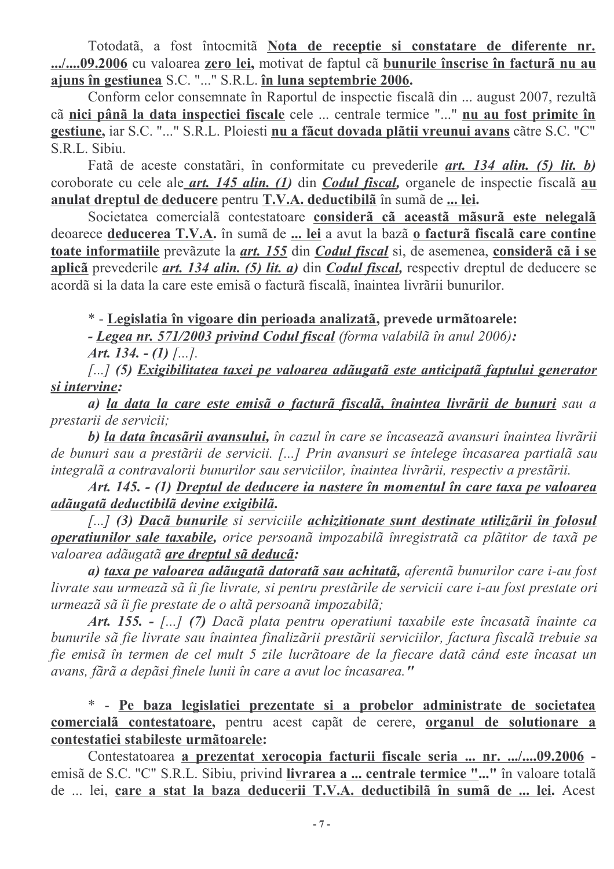Totodatã, a fost întocmitã Nota de receptie si constatare de diferente nr. .../....09.2006 cu valoarea zero lei, motivat de faptul cã bunurile înscrise în facturã nu au ajuns în gestiunea S.C. "..." S.R.L. în luna septembrie 2006.

Conform celor consemnate în Raportul de inspectie fiscală din ... august 2007, rezultă cã nici pânã la data inspectiei fiscale cele ... centrale termice "..." nu au fost primite în gestiune, iar S.C. "..." S.R.L. Ploiesti nu a făcut dovada plătii vreunui avans către S.C. "C" S.R.L. Sibiu.

Fatã de aceste constatãri, în conformitate cu prevederile *art. 134 alin.* (5) lit. b) coroborate cu cele ale *art.* 145 *alin.* (1) din *Codul fiscal*, organele de inspectie fiscala *au* anulat dreptul de deducere pentru T.V.A. deductibila în sumă de ... lei.

Societatea comercialã contestatoare considerã cã aceastã mãsurã este nelegalã deoarece deducerea T.V.A. în sumă de ... lei a avut la bază o factură fiscală care contine toate informatiile prevăzute la *art. 155* din *Codul fiscal* si, de asemenea, consideră că i se aplicã prevederile *art. 134 alin. (5) lit. a)* din *Codul fiscal*. respectiv dreptul de deducere se acordã si la data la care este emisão facturã fiscalã, înaintea livrãrii bunurilor.

\* - Legislatia în vigoare din perioada analizată, prevede următoarele:

- Legea nr. 571/2003 privind Codul fiscal (forma valabilã în anul 2006):

Art. 134.  $-(1)$  [...].

[...] (5) Exigibilitatea taxei pe valoarea adãugatã este anticipatã faptului generator si intervine:

a) la data la care este emisã o facturã fiscalã, înaintea livrãrii de bunuri sau a prestarii de servicii;

b) la data încasării avansului, în cazul în care se încasează avansuri înaintea livrării de bunuri sau a prestării de servicii. [...] Prin avansuri se întelege încasarea partială sau integralã a contravalorii bunurilor sau serviciilor, înaintea livrãrii, respectiv a prestãrii.

Art. 145. - (1) Dreptul de deducere ia nastere în momentul în care taxa pe valoarea adãugatã deductibilã devine exigibilã.

[...] (3) Dacã bunurile si serviciile achizitionate sunt destinate utilizãrii în folosul operatiunilor sale taxabile, orice persoană impozabilă înregistrată ca plătitor de taxă pe valoarea adãugatã are dreptul sã deducã:

a) taxa pe valoarea adãugatã datoratã sau achitatã, aferentã bunurilor care i-au fost livrate sau urmează să îi fie livrate, si pentru prestările de servicii care i-au fost prestate ori urmează să îi fie prestate de o altă persoană impozabilă;

Art. 155. - [...] (7) Dacã plata pentru operatiuni taxabile este încasatã înainte ca bunurile să fie livrate sau înaintea finalizării prestării serviciilor, factura fiscală trebuie sa fie emisă în termen de cel mult 5 zile lucrătoare de la fiecare dată când este încasat un avans, fără a depăsi finele lunii în care a avut loc încasarea."

\* - Pe baza legislatiei prezentate si a probelor administrate de societatea comercialã contestatoare, pentru acest capãt de cerere, organul de solutionare a contestatiei stabileste urmãtoarele:

Contestatoarea a prezentat xerocopia facturii fiscale seria ... nr. .../....09.2006 emisã de S.C. "C" S.R.L. Sibiu, privind livrarea a ... centrale termice "..." în valoare totalã de ... lei, care a stat la baza deducerii T.V.A. deductibilă în sumă de ... lei. Acest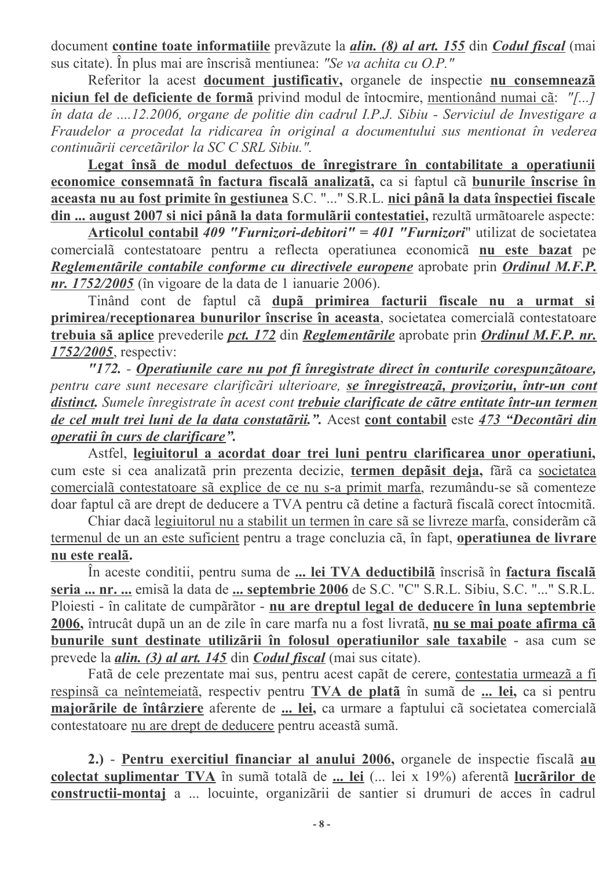document contine toate informatiile prevăzute la *alin.* (8) al art. 155 din Codul fiscal (mai sus citate). În plus mai are înscrisă mentiunea: "Se va achita cu O.P."

Referitor la acest document justificativ, organele de inspectie nu consemnează niciun fel de deficiente de formã privind modul de întocmire, mentionând numai cã: "[...] în data de ....12.2006, organe de politie din cadrul I.P.J. Sibiu - Serviciul de Investigare a Fraudelor a procedat la ridicarea în original a documentului sus mentionat în vederea continuãrii cercetãrilor la SC C SRL Sibiu.".

Legat însă de modul defectuos de înregistrare în contabilitate a operatiunii economice consemnată în factura fiscală analizată, ca si faptul că bunurile înscrise în aceasta nu au fost primite în gestiunea S.C. "..." S.R.L. nici până la data înspectiei fiscale din ... august 2007 si nici până la data formulării contestatiei, rezultă următoarele aspecte:

Articolul contabil 409 "Furnizori-debitori" = 401 "Furnizori" utilizat de societatea comercialã contestatoare pentru a reflecta operatiunea economicã nu este bazat pe Reglementarile contabile conforme cu directivele europene aprobate prin Ordinul M.F.P. *nr.* 1752/2005 (în vigoare de la data de 1 ianuarie 2006).

Tinând cont de faptul cã după primirea facturii fiscale nu a urmat si primirea/receptionarea bunurilor înscrise în aceasta, societatea comercialã contestatoare trebuia sã aplice prevederile pct. 172 din Reglementarile aprobate prin Ordinul M.F.P. nr. 1752/2005, respectiv:

"172. - Operatiunile care nu pot fi înregistrate direct în conturile corespunzătoare, pentru care sunt necesare clarificări ulterioare, se înregistrează, provizoriu, într-un cont distinct. Sumele înregistrate în acest cont trebuie clarificate de către entitate într-un termen de cel mult trei luni de la data constatării.". Acest cont contabil este 473 "Decontări din *operatii în curs de clarificare".* 

Astfel, legiuitorul a acordat doar trei luni pentru clarificarea unor operatiuni, cum este si cea analizată prin prezenta decizie, termen depăsit deja, fără ca societatea comercialã contestatoare sã explice de ce nu s-a primit marfa, rezumându-se sã comenteze doar faptul cã are drept de deducere a TVA pentru cã detine a facturã fiscalã corect întocmitã.

Chiar daçã legiuitorul nu a stabilit un termen în care sã se livreze marfa, considerãm cã termenul de un an este suficient pentru a trage concluzia cã, în fapt, operatiunea de livrare nu este realã.

În aceste conditii, pentru suma de ... lei TVA deductibilă înscrisă în factura fiscală seria ... nr. ... emisã la data de ... septembrie 2006 de S.C. "C" S.R.L. Sibiu, S.C. "..." S.R.L. Ploiesti - în calitate de cumpărător - nu are dreptul legal de deducere în luna septembrie 2006, întrucât după un an de zile în care marfa nu a fost livrată, nu se mai poate afirma că bunurile sunt destinate utilizării în folosul operatiunilor sale taxabile - asa cum se prevede la *alin.* (3) *al art.* 145 din *Codul fiscal* (mai sus citate).

Fatã de cele prezentate mai sus, pentru acest capãt de cerere, contestatia urmeazã a fi respinsã ca neîntemeiatã, respectiv pentru TVA de platã în sumã de ... lei, ca si pentru majorările de întârziere aferente de ... lei, ca urmare a faptului că societatea comercială contestatoare nu are drept de deducere pentru aceastã sumã.

2.) - Pentru exercitiul financiar al anului 2006, organele de inspectie fiscalã au colectat suplimentar TVA în sumă totală de ... lei (... lei x 19%) aferentă lucrărilor de constructii-montaj a ... locuinte, organizarii de santier si drumuri de acces în cadrul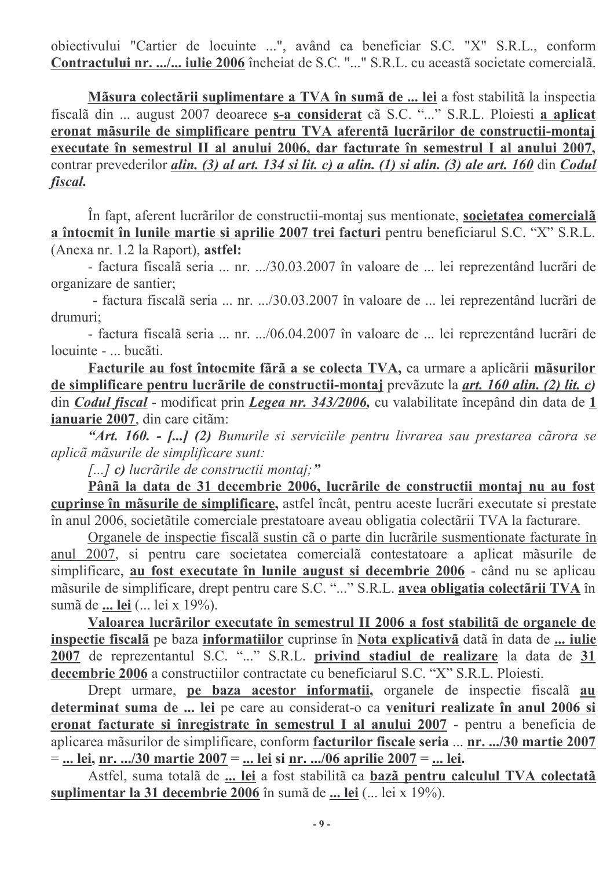obiectivului "Cartier de locuinte ...", având ca beneficiar S.C. "X" S.R.L., conform Contractului nr. .../... iulie 2006 încheiat de S.C. "..." S.R.L. cu aceastã societate comercialã.

Măsura colectării suplimentare a TVA în sumă de ... lei a fost stabilită la inspectia fiscală din ... august 2007 deoarece s-a considerat că S.C. "..." S.R.L. Ploiesti a aplicat eronat măsurile de simplificare pentru TVA aferentă lucrărilor de constructii-montaj executate în semestrul II al anului 2006, dar facturate în semestrul I al anului 2007, contrar prevederilor *alin.* (3) al art. 134 si lit. c) a alin. (1) si alin. (3) ale art. 160 din Codul fiscal.

În fapt, aferent lucrărilor de constructii-montaj sus mentionate, societatea comercială a întocmit în lunile martie și aprilie 2007 trei facturi pentru beneficiarul S.C. "X" S.R.L. (Anexa nr. 1.2 la Raport), astfel:

- factura fiscalã seria ... nr. .../30.03.2007 în valoare de ... lei reprezentând lucrãri de organizare de santier;

- factura fiscalã seria ... nr. .../30.03.2007 în valoare de ... lei reprezentând lucrãri de drumuri;

- factura fiscalã seria ... nr. .../06.04.2007 în valoare de ... lei reprezentând lucrãri de locuinte - ... bucăti.

Facturile au fost întocmite fără a se colecta TVA, ca urmare a aplicării măsurilor de simplificare pentru lucrările de constructii-montaj prevăzute la *art. 160 alin. (2) lit. c)* din *Codul fiscal* - modificat prin *Legea nr. 343/2006*, cu valabilitate începând din data de 1 ianuarie 2007, din care citãm:

"Art. 160. - [...] (2) Bunurile și serviciile pentru livrarea sau prestarea cărora se aplicã mãsurile de simplificare sunt:

[...] c) lucrările de constructii montaj;"

Pânã la data de 31 decembrie 2006, lucrãrile de constructii montaj nu au fost cuprinse în măsurile de simplificare, astfel încât, pentru aceste lucrări executate si prestate în anul 2006, societățile comerciale prestatoare aveau obligatia colectării TVA la facturare.

Organele de inspectie fiscalã sustin cão parte din lucrârile susmentionate facturate în anul 2007, si pentru care societatea comercialã contestatoare a aplicat mãsurile de simplificare, au fost executate în lunile august si decembrie 2006 - când nu se aplicau măsurile de simplificare, drept pentru care S.C. "..." S.R.L. avea obligatia colectării TVA în sumã de ... lei (... lei x 19%).

Valoarea lucrărilor executate în semestrul II 2006 a fost stabilită de organele de inspectie fiscala pe baza informatiilor cuprinse în Nota explicativă dată în data de ... iulie 2007 de reprezentantul S.C. "..." S.R.L. privind stadiul de realizare la data de 31 decembrie 2006 a constructiilor contractate cu beneficiarul S.C. "X" S.R.L. Ploiesti.

Drept urmare, pe baza acestor informatii, organele de inspectie fiscalã au determinat suma de ... lei pe care au considerat-o ca venituri realizate în anul 2006 si eronat facturate si înregistrate în semestrul I al anului 2007 - pentru a beneficia de aplicarea măsurilor de simplificare, conform facturilor fiscale seria ... nr. .../30 martie 2007  $=$  ... lei, nr. .../30 martie 2007 = ... lei si nr. .../06 aprilie 2007 = ... lei.

Astfel, suma totalã de ... lei a fost stabilitã ca bazã pentru calculul TVA colectatã suplimentar la 31 decembrie 2006 în sumă de ... lei (... lei x 19%).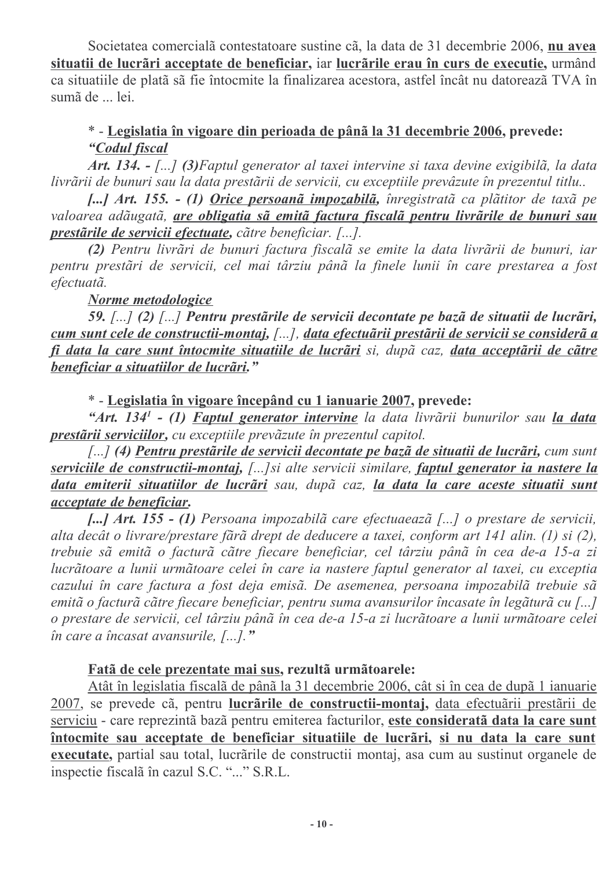Societatea comercialã contestatoare sustine cã, la data de 31 decembrie 2006, nu avea situatii de lucrãri acceptate de beneficiar, iar lucrãrile erau în curs de executie, urmând ca situatiile de platã sã fie întocmite la finalizarea acestora, astfel încât nu datorează TVA în sumã de ... lei.

## \* - Legislatia în vigoare din perioada de până la 31 decembrie 2006, prevede: "Codul fiscal

Art. 134. - [...] (3) Faptul generator al taxei intervine si taxa devine exigibilã, la data livrării de bunuri sau la data prestării de servicii, cu exceptiile prevâzute în prezentul titlu..

[...] Art. 155. - (1) Orice persoană impozabilă, înregistrată ca plătitor de taxă pe valoarea adãugatã, *are obligatia sã emitã factura fiscalã pentru livrãrile de bunuri sau* prestarile de servicii efectuate, catre beneficiar. [...].

(2) Pentru livrări de bunuri factura fiscală se emite la data livrării de bunuri, iar pentru prestări de servicii, cel mai târziu până la finele lunii în care prestarea a fost efectuatã.

## Norme metodologice

59. [...] (2) [...] Pentru prestările de servicii decontate pe bază de situatii de lucrări, cum sunt cele de constructii-montaj, [...], data efectuārii prestării de servicii se consideră a fi data la care sunt întocmite situatiile de lucrări si, după caz, data acceptării de către beneficiar a situatiilor de lucrãri."

\* - Legislatia în vigoare începând cu 1 ianuarie 2007, prevede:

"Art. 134<sup>1</sup> - (1) Faptul generator intervine la data livrării bunurilor sau la data prestării serviciilor, cu exceptiile prevăzute în prezentul capitol.

[...] (4) Pentru prestările de servicii decontate pe bază de situatii de lucrări, cum sunt serviciile de constructii-montaj, [...] si alte servicii similare, faptul generator ia nastere la data emiterii situatiilor de lucrãri sau, dupã caz, la data la care aceste situatii sunt acceptate de beneficiar.

[...] Art. 155 - (1) Persoana impozabilă care efectuaează [...] o prestare de servicii, alta decât o livrare/prestare fără drept de deducere a taxei, conform art 141 alin. (1) si (2), trebuie să emită o factură către fiecare beneficiar, cel târziu până în cea de-a 15-a zi lucrãtoare a lunii urmãtoare celei în care ia nastere faptul generator al taxei, cu exceptia cazului în care factura a fost deja emisã. De asemenea, persoana impozabilã trebuie sã emitã o facturã cãtre fiecare beneficiar, pentru suma avansurilor încasate în legăturã cu [...] o prestare de servicii, cel târziu până în cea de-a 15-a zi lucrătoare a lunii următoare celei în care a încasat avansurile,  $[...]$ ."

#### Fatã de cele prezentate mai sus, rezultã urmãtoarele:

Atât în legislatia fiscală de până la 31 decembrie 2006, cât si în cea de după 1 ianuarie 2007, se prevede cã, pentru lucrârile de constructii-montaj, data efectuârii prestârii de serviciu - care reprezintã bazã pentru emiterea facturilor, este consideratã data la care sunt întocmite sau acceptate de beneficiar situatiile de lucrări, si nu data la care sunt executate, partial sau total, lucrările de constructii montaj, asa cum au sustinut organele de inspectie fiscala în cazul S.C. "..." S.R.L.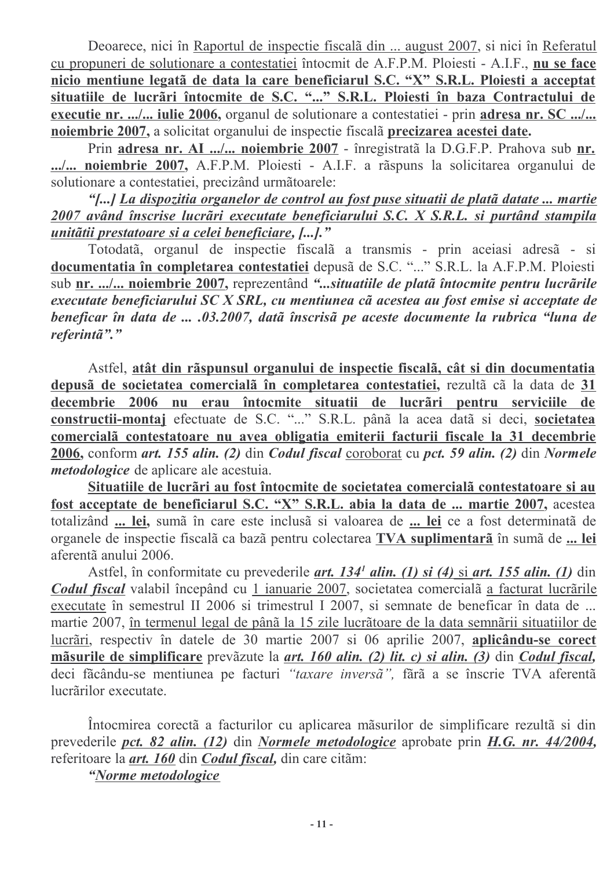Deoarece, nici în Raportul de inspectie fiscală din ... august 2007, si nici în Referatul cu propuneri de solutionare a contestatiei întocmit de A.F.P.M. Ploiesti - A.I.F., nu se face nicio mentiune legatã de data la care beneficiarul S.C. "X" S.R.L. Ploiesti a acceptat situatiile de lucrări întocmite de S.C. "..." S.R.L. Ploiesti în baza Contractului de executie nr. .../... iulie 2006, organul de solutionare a contestatiei - prin adresa nr. SC .../... noiembrie 2007, a solicitat organului de inspectie fiscalã precizarea acestei date.

Prin adresa nr. AI .../... noiembrie 2007 - înregistrată la D.G.F.P. Prahova sub nr. .../... noiembrie 2007, A.F.P.M. Ploiesti - A.I.F. a rãspuns la solicitarea organului de solutionare a contestatiei, precizând următoarele:

"[...] La dispozitia organelor de control au fost puse situatii de platã datate ... martie 2007 având înscrise lucrări executate beneficiarului S.C. X S.R.L. și purtând stampila unității prestatoare și a celei beneficiare, [...]."

Totodatã, organul de inspectie fiscalã a transmis - prin aceiasi adresã - si documentatia în completarea contestatiei depusă de S.C. "..." S.R.L. la A.F.P.M. Ploiesti sub nr. .../... noiembrie 2007, reprezentând "...situatiile de platã întocmite pentru lucrãrile executate beneficiarului SC X SRL, cu mentiunea cã acestea au fost emise si acceptate de beneficar în data de ... .03.2007, dată înscrisă pe aceste documente la rubrica "luna de referintã"."

Astfel, atât din rãspunsul organului de inspectie fiscalã, cât si din documentatia depusã de societatea comercialã în completarea contestatiei, rezultã cã la data de 31 decembrie 2006 nu erau întocmite situatii de lucrãri pentru serviciile de constructii-montaj efectuate de S.C. "..." S.R.L. până la acea dată si deci, societatea comercială contestatoare nu avea obligatia emiterii facturii fiscale la 31 decembrie 2006, conform art. 155 alin. (2) din Codul fiscal coroborat cu pct. 59 alin. (2) din Normele *metodologice* de aplicare ale acestuia.

Situatiile de lucrãri au fost întocmite de societatea comercialã contestatoare si au fost acceptate de beneficiarul S.C. "X" S.R.L. abia la data de ... martie 2007, acestea totalizând ... lei, sumă în care este inclusă si valoarea de ... lei ce a fost determinată de organele de inspectie fiscalã ca bazã pentru colectarea TVA suplimentarã în sumã de ... lei aferentã anului 2006.

Astfel, în conformitate cu prevederile *art. 134<sup>1</sup> alin.* (1) si (4) si *art. 155 alin.* (1) din Codul fiscal valabil începând cu 1 ianuarie 2007, societatea comercială a facturat lucrările executate în semestrul II 2006 si trimestrul I 2007, si semnate de beneficar în data de ... martie 2007, în termenul legal de până la 15 zile lucrătoare de la data semnării situatiilor de lucrãri, respectiv în datele de 30 martie 2007 si 06 aprilie 2007, aplicându-se corect măsurile de simplificare prevăzute la *art. 160 alin. (2) lit. c) si alin. (3)* din *Codul fiscal*. deci făcându-se mentiunea pe facturi "taxare inversă", fără a se înscrie TVA aferentă lucrărilor executate.

Întocmirea corectã a facturilor cu aplicarea măsurilor de simplificare rezultã si din prevederile *pct.* 82 *alin.* (12) din *Normele metodologice* aprobate prin *H.G. nr.* 44/2004, referitoare la *art. 160* din *Codul fiscal*, din care citam:

"Norme metodologice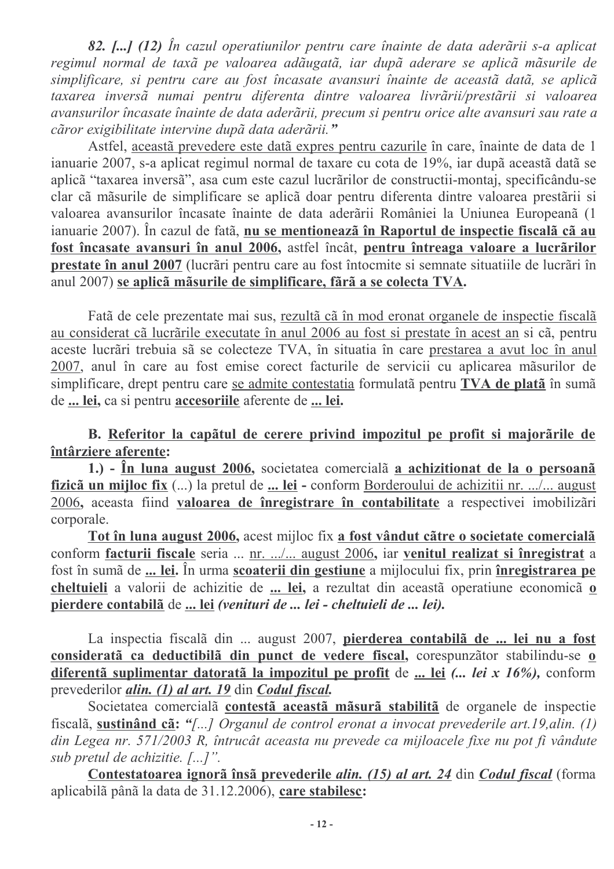82. [...] (12) În cazul operatiunilor pentru care înainte de data aderării s-a aplicat regimul normal de taxã pe valoarea adãugatã, iar dupã aderare se aplicã mãsurile de simplificare, si pentru care au fost încasate avansuri înainte de această dată, se aplică taxarea inversã numai pentru diferenta dintre valoarea livrãrii/prestãrii si valoarea avansurilor încasate înainte de data aderării, precum si pentru orice alte avansuri sau rate a căror exigibilitate intervine după data aderării."

Astfel, aceastã prevedere este datã expres pentru cazurile în care, înainte de data de 1 ianuarie 2007, s-a aplicat regimul normal de taxare cu cota de 19%, iar după această dată se aplicã "taxarea inversã", asa cum este cazul lucrãrilor de constructii-montaj, specificându-se clar cã mãsurile de simplificare se aplicã doar pentru diferenta dintre valoarea prestãrii si valoarea avansurilor încasate înainte de data aderării României la Uniunea Europeană (1 ianuarie 2007). În cazul de fatã, nu se mentionează în Raportul de inspectie fiscală că au fost încasate avansuri în anul 2006, astfel încât, pentru întreaga valoare a lucrărilor prestate în anul 2007 (lucrări pentru care au fost întocmite și semnate situatiile de lucrări în anul 2007) se aplicã mãsurile de simplificare, fãrã a se colecta TVA.

Fatã de cele prezentate mai sus, rezultã cã în mod eronat organele de inspectie fiscalã au considerat cã lucrările executate în anul 2006 au fost și prestate în acest an și cã, pentru aceste lucrãri trebuia sã se colecteze TVA, în situatia în care prestarea a avut loc în anul 2007, anul în care au fost emise corect facturile de servicii cu aplicarea măsurilor de simplificare, drept pentru care se admite contestatia formulată pentru TVA de plată în sumă de ... lei, ca si pentru accesoriile aferente de ... lei.

B. Referitor la capătul de cerere privind impozitul pe profit și majorările de întârziere aferente:

1.) - În luna august 2006, societatea comercială a achizitionat de la o persoană fizicã un mijloc fix (...) la pretul de ... lei - conform Borderoului de achizitii nr. .../... august 2006, aceasta fiind valoarea de înregistrare în contabilitate a respectivei imobilizări corporale.

Tot în luna august 2006, acest mijloc fix a fost vândut către o societate comercială conform facturii fiscale seria ... nr. .../... august 2006, iar venitul realizat si înregistrat a fost în sumă de ... lei. În urma scoaterii din gestiune a mijlocului fix, prin înregistrarea pe cheltuieli a valorii de achizitie de ... lei, a rezultat din aceastã operatiune economicã o pierdere contabilă de ... lei *(venituri de ... lei - cheltuieli de ... lei)*.

La inspectia fiscalã din ... august 2007, pierderea contabilã de ... lei nu a fost considerată ca deductibilă din punct de vedere fiscal, corespunzător stabilindu-se o diferentă suplimentar datorată la impozitul pe profit de ... lei (... lei x 16%), conform prevederilor alin. (1) al art. 19 din Codul fiscal.

Societatea comercialã contestã aceastã mãsurã stabilitã de organele de inspectie fiscală, sustinând cã: "[...] Organul de control eronat a invocat prevederile art.19, alin. (1) din Legea nr. 571/2003 R, întrucât aceasta nu prevede ca mijloacele fixe nu pot fi vândute sub pretul de achizitie. [...]".

Contestatoarea ignoră însă prevederile alin. (15) al art. 24 din Codul fiscal (forma aplicabilã pânã la data de 31.12.2006), care stabilesc: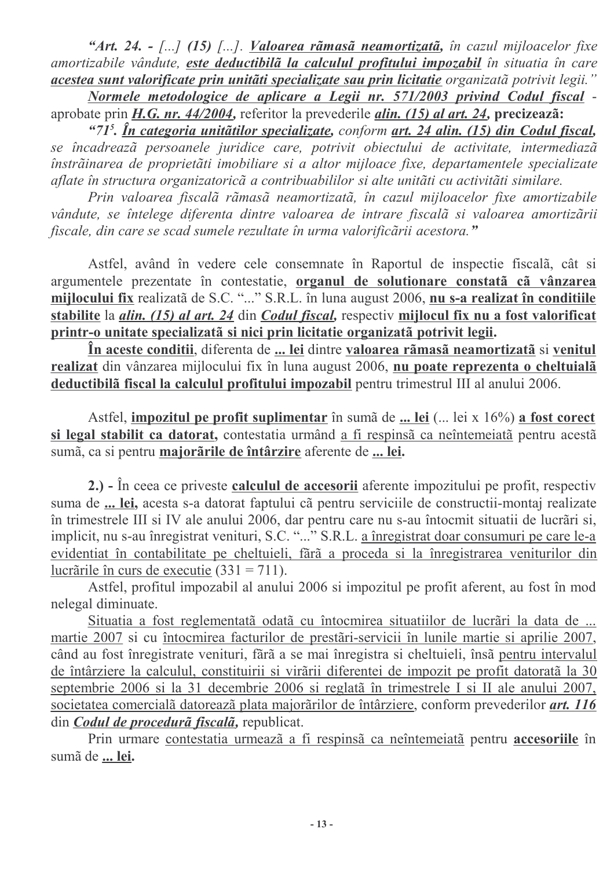"Art. 24. - [...] (15) [...]. Valoarea rãmasã neamortizatã, în cazul mijloacelor fixe amortizabile vândute, este deductibilă la calculul profitului impozabil în situatia în care acestea sunt valorificate prin unităti specializate sau prin licitatie organizată potrivit legii."

Normele metodologice de aplicare a Legii nr. 571/2003 privind Codul fiscal aprobate prin H.G. nr.  $44/2004$ , referitor la prevederile *alin.* (15) *al art.* 24, precizează:

"71<sup>5</sup>, În categoria unitătilor specializate, conform art. 24 alin. (15) din Codul fiscal, se încadrează persoanele juridice care, potrivit obiectului de activitate, intermediază înstrãinarea de proprietãti imobiliare si a altor mijloace fixe, departamentele specializate aflate în structura organizatorică a contribuabililor și alte unităti cu activităti similare.

Prin valoarea fiscală rămasă neamortizată, în cazul mijloacelor fixe amortizabile vândute, se întelege diferenta dintre valoarea de intrare fiscalã si valoarea amortizãrii fiscale, din care se scad sumele rezultate în urma valorificării acestora."

Astfel, având în vedere cele consemnate în Raportul de inspectie fiscalã, cât si argumentele prezentate în contestatie, organul de solutionare constatã cã vânzarea mijlocului fix realizată de S.C. "..." S.R.L. în luna august 2006, nu s-a realizat în conditiile stabilite la *alin.* (15) al art. 24 din Codul fiscal, respectiv mijlocul fix nu a fost valorificat printr-o unitate specializată și nici prin licitatie organizată potrivit legii.

În aceste conditii, diferenta de ... lei dintre valoarea rămasă neamortizată și venitul realizat din vânzarea mijlocului fix în luna august 2006, nu poate reprezenta o cheltuială deductibilă fiscal la calculul profitului impozabil pentru trimestrul III al anului 2006.

Astfel, impozitul pe profit suplimentar în sumă de ... lei (... lei x 16%) a fost corect si legal stabilit ca datorat, contestatia urmând a fi respinsã ca neîntemeiatã pentru acestã sumã, ca si pentru majorarile de întârzire aferente de ... lei.

2.) - În ceea ce priveste calculul de accesorii aferente impozitului pe profit, respectiv suma de ... lei, acesta s-a datorat faptului cã pentru serviciile de constructii-montaj realizate în trimestrele III și IV ale anului 2006, dar pentru care nu s-au întocmit situatii de lucrări și, implicit, nu s-au înregistrat venituri, S.C. "..." S.R.L. a înregistrat doar consumuri pe care le-a evidentiat în contabilitate pe cheltuieli, fără a proceda și la înregistrarea veniturilor din lucrările în curs de executie  $(331 = 711)$ .

Astfel, profitul impozabil al anului 2006 si impozitul pe profit aferent, au fost în mod nelegal diminuate.

Situatia a fost reglementată odată cu întocmirea situatiilor de lucrări la data de ... martie 2007 si cu întocmirea facturilor de prestări-servicii în lunile martie si aprilie 2007, când au fost înregistrate venituri, fără a se mai înregistra și cheltuieli, însă pentru intervalul de întârziere la calculul, constituirii si virării diferentei de impozit pe profit datorată la 30 septembrie 2006 si la 31 decembrie 2006 si reglată în trimestrele I si II ale anului 2007, societatea comercialã datoreazã plata majorãrilor de întârziere, conform prevederilor *art.* 116 din Codul de procedură fiscală, republicat.

Prin urmare contestatia urmează a fi respinsă ca neîntemeiată pentru accesoriile în sumã de ... lei.